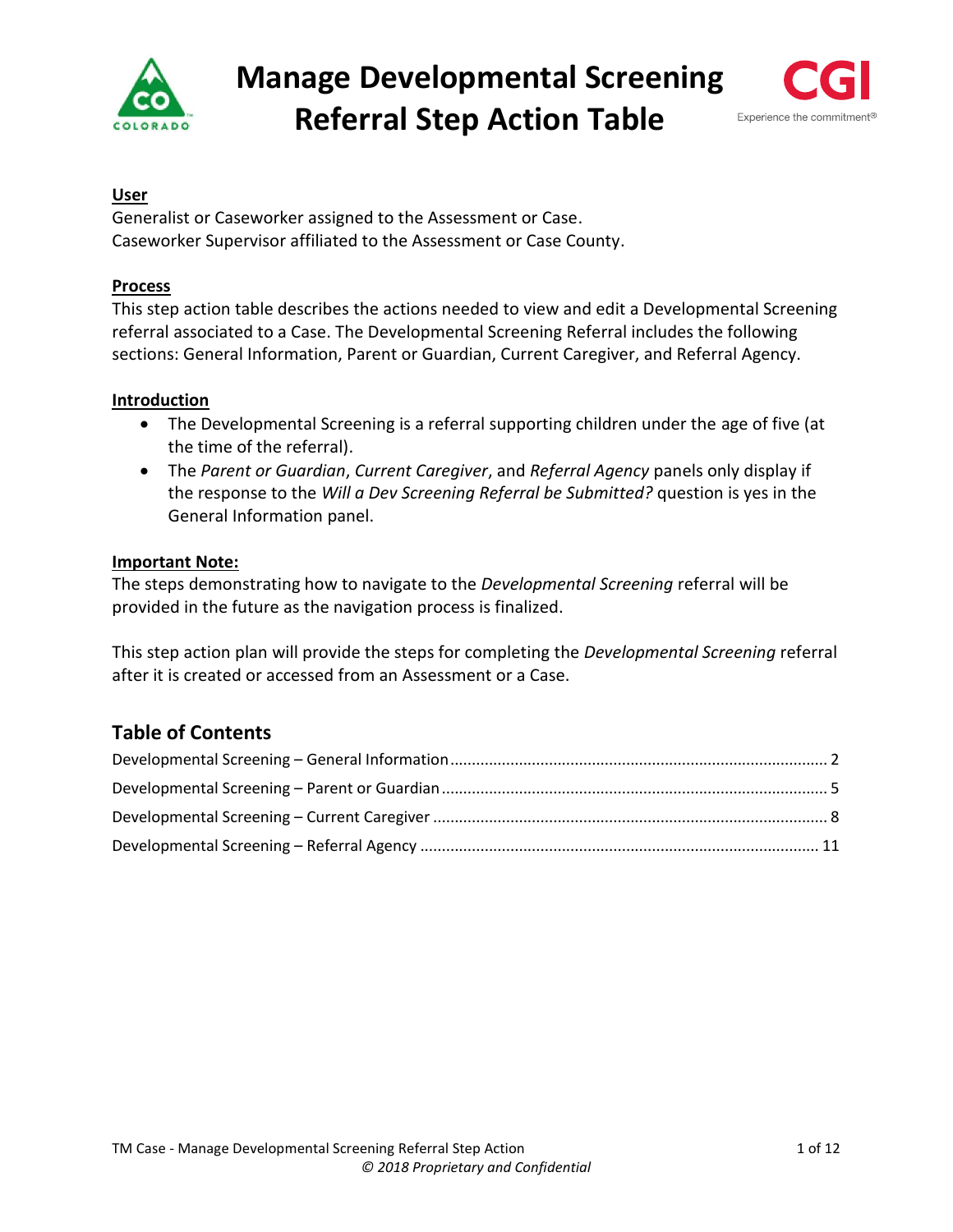

# **Manage Developmental Screening Referral Step Action Table**



## **User**

Generalist or Caseworker assigned to the Assessment or Case. Caseworker Supervisor affiliated to the Assessment or Case County.

## **Process**

This step action table describes the actions needed to view and edit a Developmental Screening referral associated to a Case. The Developmental Screening Referral includes the following sections: General Information, Parent or Guardian, Current Caregiver, and Referral Agency.

### **Introduction**

- The Developmental Screening is a referral supporting children under the age of five (at the time of the referral).
- The *Parent or Guardian*, *Current Caregiver*, and *Referral Agency* panels only display if the response to the *Will a Dev Screening Referral be Submitted?* question is yes in the General Information panel.

### **Important Note:**

The steps demonstrating how to navigate to the *Developmental Screening* referral will be provided in the future as the navigation process is finalized.

This step action plan will provide the steps for completing the *Developmental Screening* referral after it is created or accessed from an Assessment or a Case.

## **Table of Contents**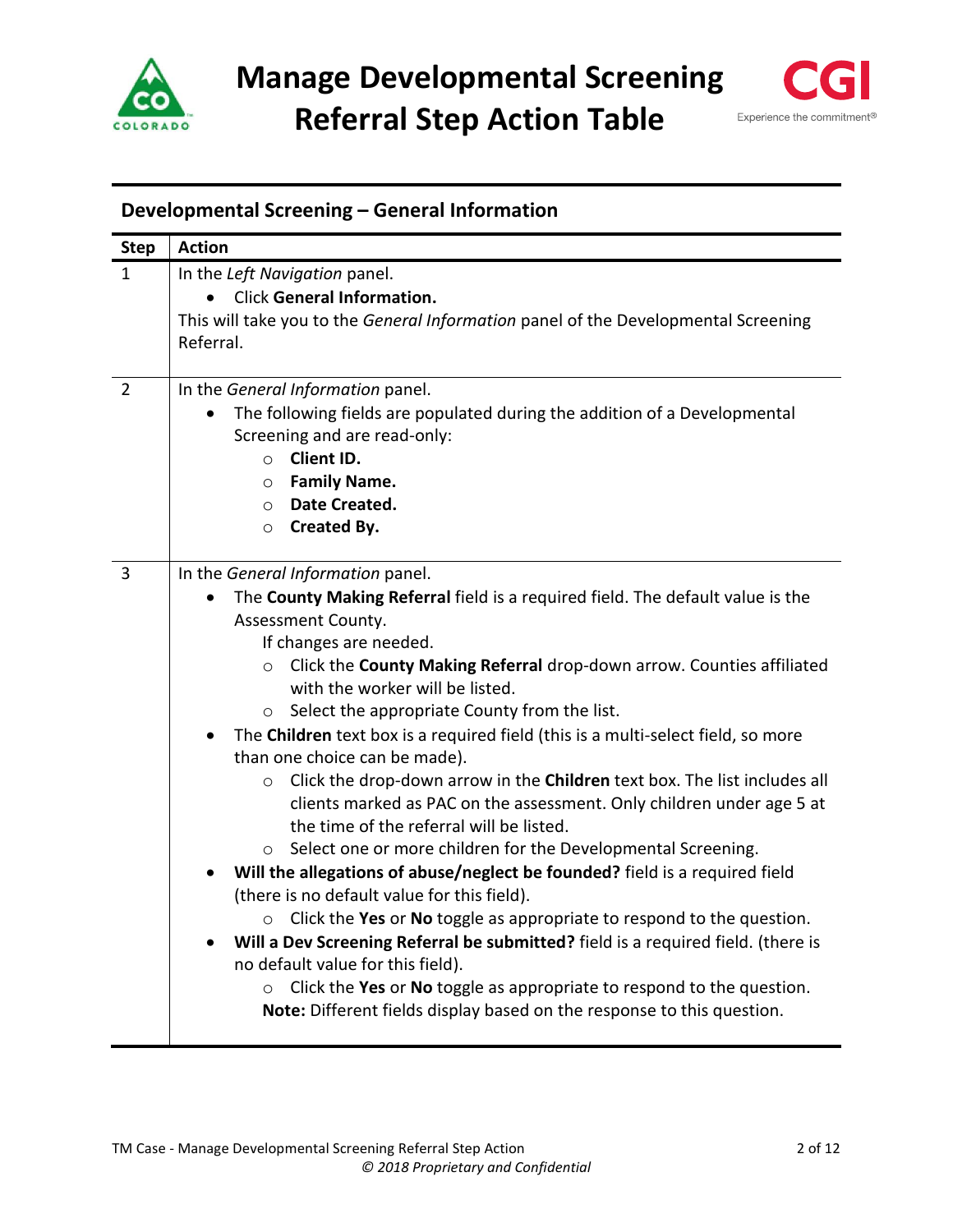



# <span id="page-1-0"></span>**Developmental Screening – General Information**

| <b>Step</b>    | <b>Action</b>                                                                        |
|----------------|--------------------------------------------------------------------------------------|
| 1              | In the Left Navigation panel.                                                        |
|                | <b>Click General Information.</b>                                                    |
|                | This will take you to the General Information panel of the Developmental Screening   |
|                | Referral.                                                                            |
|                |                                                                                      |
| $\overline{2}$ | In the General Information panel.                                                    |
|                | The following fields are populated during the addition of a Developmental            |
|                | Screening and are read-only:                                                         |
|                | Client ID.<br>$\circ$                                                                |
|                | <b>Family Name.</b><br>$\circ$                                                       |
|                | Date Created.<br>$\circ$                                                             |
|                | Created By.<br>$\circ$                                                               |
|                |                                                                                      |
| $\overline{3}$ | In the General Information panel.                                                    |
|                | The County Making Referral field is a required field. The default value is the       |
|                | Assessment County.                                                                   |
|                | If changes are needed.                                                               |
|                | Click the County Making Referral drop-down arrow. Counties affiliated<br>$\circ$     |
|                | with the worker will be listed.                                                      |
|                | Select the appropriate County from the list.<br>$\circ$                              |
|                | The Children text box is a required field (this is a multi-select field, so more     |
|                | than one choice can be made).                                                        |
|                | Click the drop-down arrow in the Children text box. The list includes all<br>$\circ$ |
|                | clients marked as PAC on the assessment. Only children under age 5 at                |
|                | the time of the referral will be listed.                                             |
|                | Select one or more children for the Developmental Screening.<br>$\circ$              |
|                | Will the allegations of abuse/neglect be founded? field is a required field          |
|                | (there is no default value for this field).                                          |
|                | Click the Yes or No toggle as appropriate to respond to the question.<br>$\circ$     |
|                | Will a Dev Screening Referral be submitted? field is a required field. (there is     |
|                | no default value for this field).                                                    |
|                | Click the Yes or No toggle as appropriate to respond to the question.<br>$\circ$     |
|                | Note: Different fields display based on the response to this question.               |
|                |                                                                                      |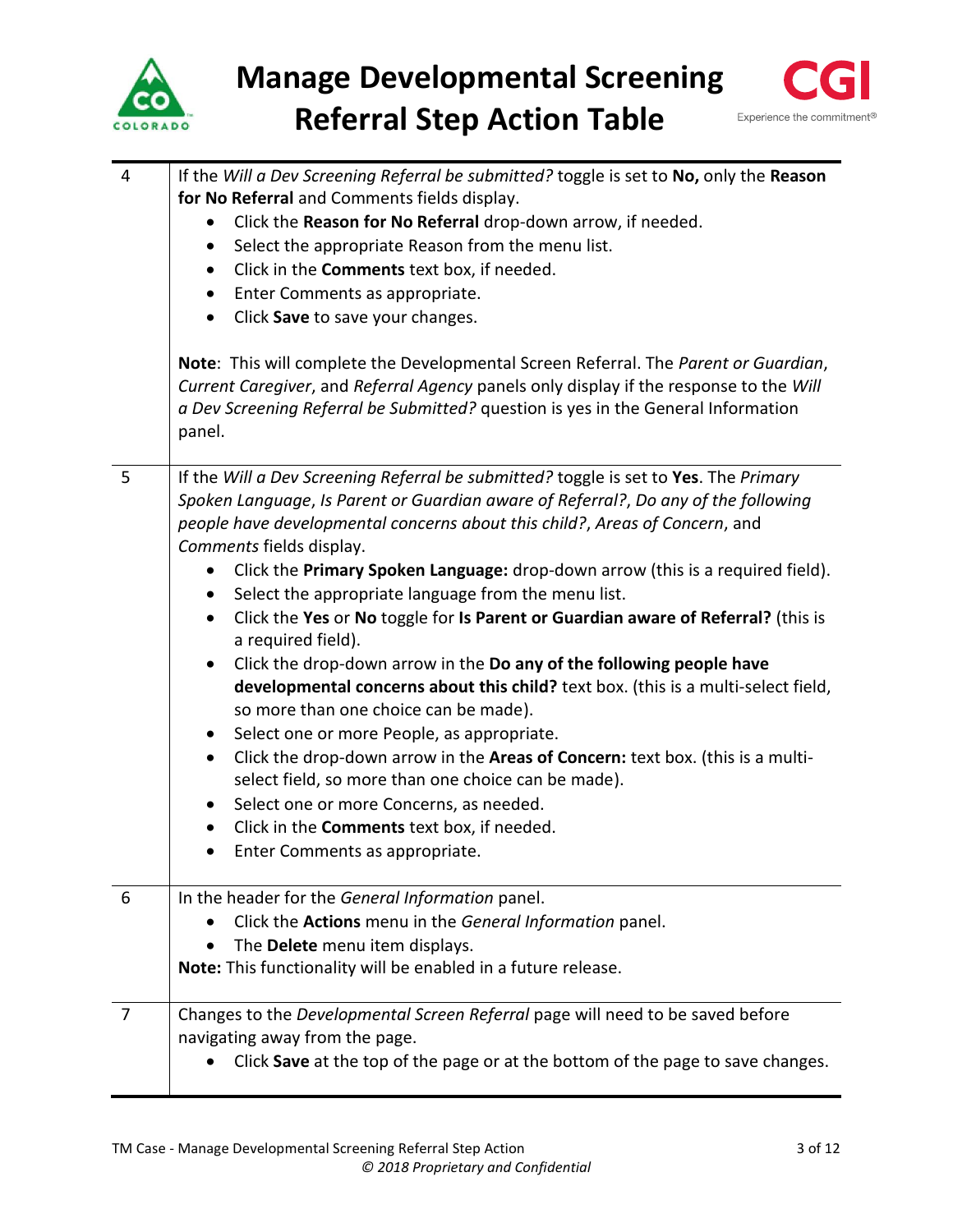



| 4              | If the Will a Dev Screening Referral be submitted? toggle is set to No, only the Reason<br>for No Referral and Comments fields display.<br>Click the Reason for No Referral drop-down arrow, if needed.<br>Select the appropriate Reason from the menu list.<br>$\bullet$<br>Click in the Comments text box, if needed.<br>$\bullet$<br>Enter Comments as appropriate.<br>$\bullet$<br>Click Save to save your changes.<br>$\bullet$<br>Note: This will complete the Developmental Screen Referral. The Parent or Guardian,<br>Current Caregiver, and Referral Agency panels only display if the response to the Will<br>a Dev Screening Referral be Submitted? question is yes in the General Information<br>panel.                                                                                                                                                                                                                                                                                                                                                                                    |
|----------------|---------------------------------------------------------------------------------------------------------------------------------------------------------------------------------------------------------------------------------------------------------------------------------------------------------------------------------------------------------------------------------------------------------------------------------------------------------------------------------------------------------------------------------------------------------------------------------------------------------------------------------------------------------------------------------------------------------------------------------------------------------------------------------------------------------------------------------------------------------------------------------------------------------------------------------------------------------------------------------------------------------------------------------------------------------------------------------------------------------|
| 5              | If the Will a Dev Screening Referral be submitted? toggle is set to Yes. The Primary<br>Spoken Language, Is Parent or Guardian aware of Referral?, Do any of the following<br>people have developmental concerns about this child?, Areas of Concern, and<br>Comments fields display.<br>Click the Primary Spoken Language: drop-down arrow (this is a required field).<br>Select the appropriate language from the menu list.<br>$\bullet$<br>Click the Yes or No toggle for Is Parent or Guardian aware of Referral? (this is<br>$\bullet$<br>a required field).<br>Click the drop-down arrow in the Do any of the following people have<br>developmental concerns about this child? text box. (this is a multi-select field,<br>so more than one choice can be made).<br>Select one or more People, as appropriate.<br>Click the drop-down arrow in the Areas of Concern: text box. (this is a multi-<br>select field, so more than one choice can be made).<br>Select one or more Concerns, as needed.<br>Click in the Comments text box, if needed.<br>$\bullet$<br>Enter Comments as appropriate. |
| 6              | In the header for the General Information panel.<br>Click the Actions menu in the General Information panel.<br>The Delete menu item displays.<br>Note: This functionality will be enabled in a future release.                                                                                                                                                                                                                                                                                                                                                                                                                                                                                                                                                                                                                                                                                                                                                                                                                                                                                         |
| $\overline{7}$ | Changes to the Developmental Screen Referral page will need to be saved before<br>navigating away from the page.<br>Click Save at the top of the page or at the bottom of the page to save changes.                                                                                                                                                                                                                                                                                                                                                                                                                                                                                                                                                                                                                                                                                                                                                                                                                                                                                                     |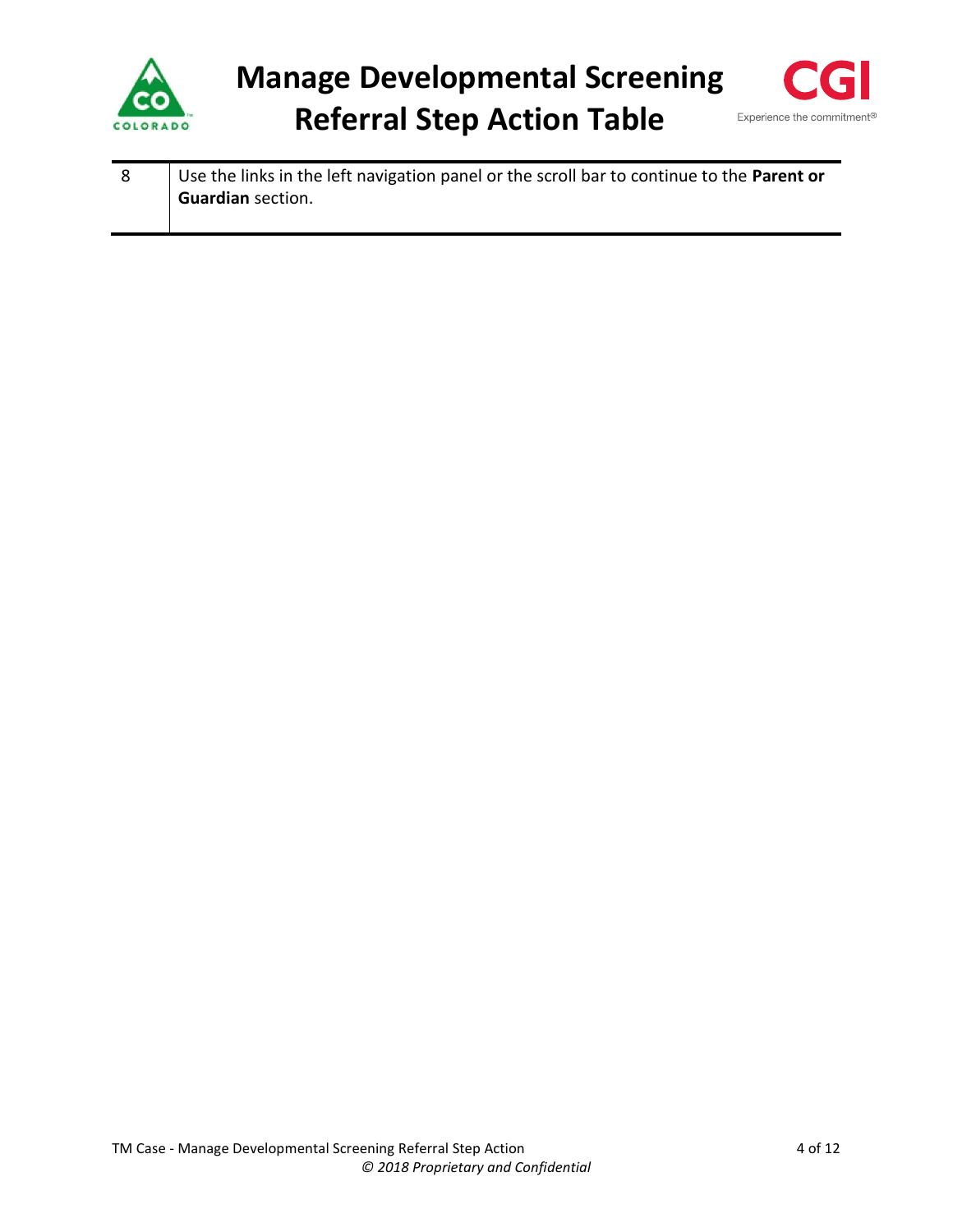



| Use the links in the left navigation panel or the scroll bar to continue to the Parent or |
|-------------------------------------------------------------------------------------------|
| <b>Guardian section.</b>                                                                  |
|                                                                                           |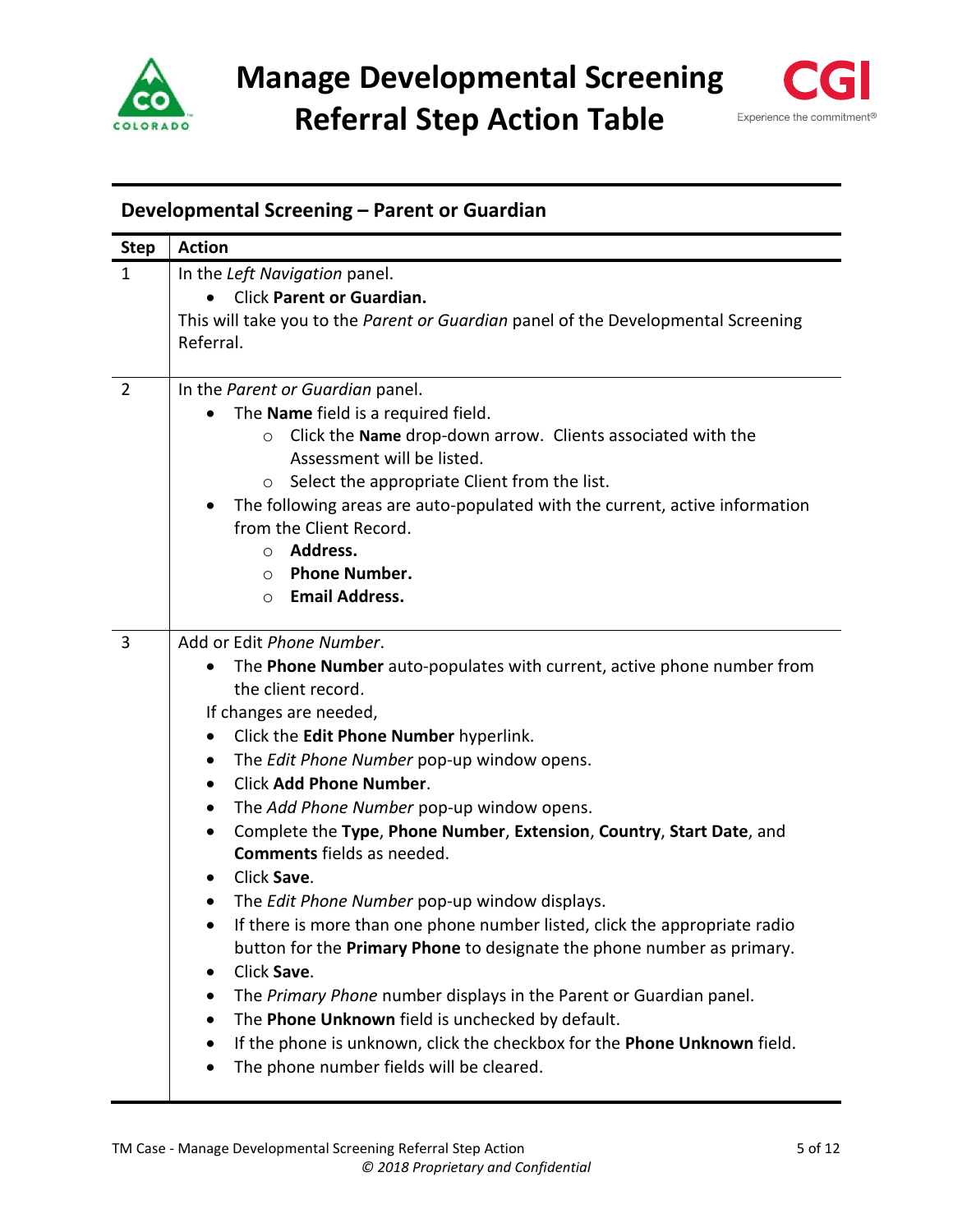



# <span id="page-4-0"></span>**Developmental Screening – Parent or Guardian**

| <b>Step</b>    | <b>Action</b>                                                                     |
|----------------|-----------------------------------------------------------------------------------|
| $\mathbf{1}$   | In the Left Navigation panel.                                                     |
|                | Click Parent or Guardian.                                                         |
|                | This will take you to the Parent or Guardian panel of the Developmental Screening |
|                | Referral.                                                                         |
|                |                                                                                   |
| $\overline{2}$ | In the Parent or Guardian panel.                                                  |
|                | The Name field is a required field.                                               |
|                | Click the Name drop-down arrow. Clients associated with the<br>$\circ$            |
|                | Assessment will be listed.                                                        |
|                | Select the appropriate Client from the list.<br>$\circ$                           |
|                | The following areas are auto-populated with the current, active information       |
|                | from the Client Record.                                                           |
|                | Address.<br>$\circ$                                                               |
|                | <b>Phone Number.</b><br>$\circ$                                                   |
|                | <b>Email Address.</b><br>$\circ$                                                  |
| 3              | Add or Edit Phone Number.                                                         |
|                | The Phone Number auto-populates with current, active phone number from            |
|                | the client record.                                                                |
|                | If changes are needed,                                                            |
|                | Click the Edit Phone Number hyperlink.<br>$\bullet$                               |
|                | The Edit Phone Number pop-up window opens.<br>٠                                   |
|                | <b>Click Add Phone Number.</b><br>$\bullet$                                       |
|                | The Add Phone Number pop-up window opens.<br>$\bullet$                            |
|                | Complete the Type, Phone Number, Extension, Country, Start Date, and<br>$\bullet$ |
|                | <b>Comments</b> fields as needed.                                                 |
|                | Click Save.<br>٠                                                                  |
|                | The Edit Phone Number pop-up window displays.<br>$\bullet$                        |
|                | If there is more than one phone number listed, click the appropriate radio        |
|                | button for the Primary Phone to designate the phone number as primary.            |
|                | Click Save.<br>٠                                                                  |
|                | The Primary Phone number displays in the Parent or Guardian panel.<br>$\bullet$   |
|                | The Phone Unknown field is unchecked by default.                                  |
|                | If the phone is unknown, click the checkbox for the Phone Unknown field.<br>٠     |
|                | The phone number fields will be cleared.                                          |
|                |                                                                                   |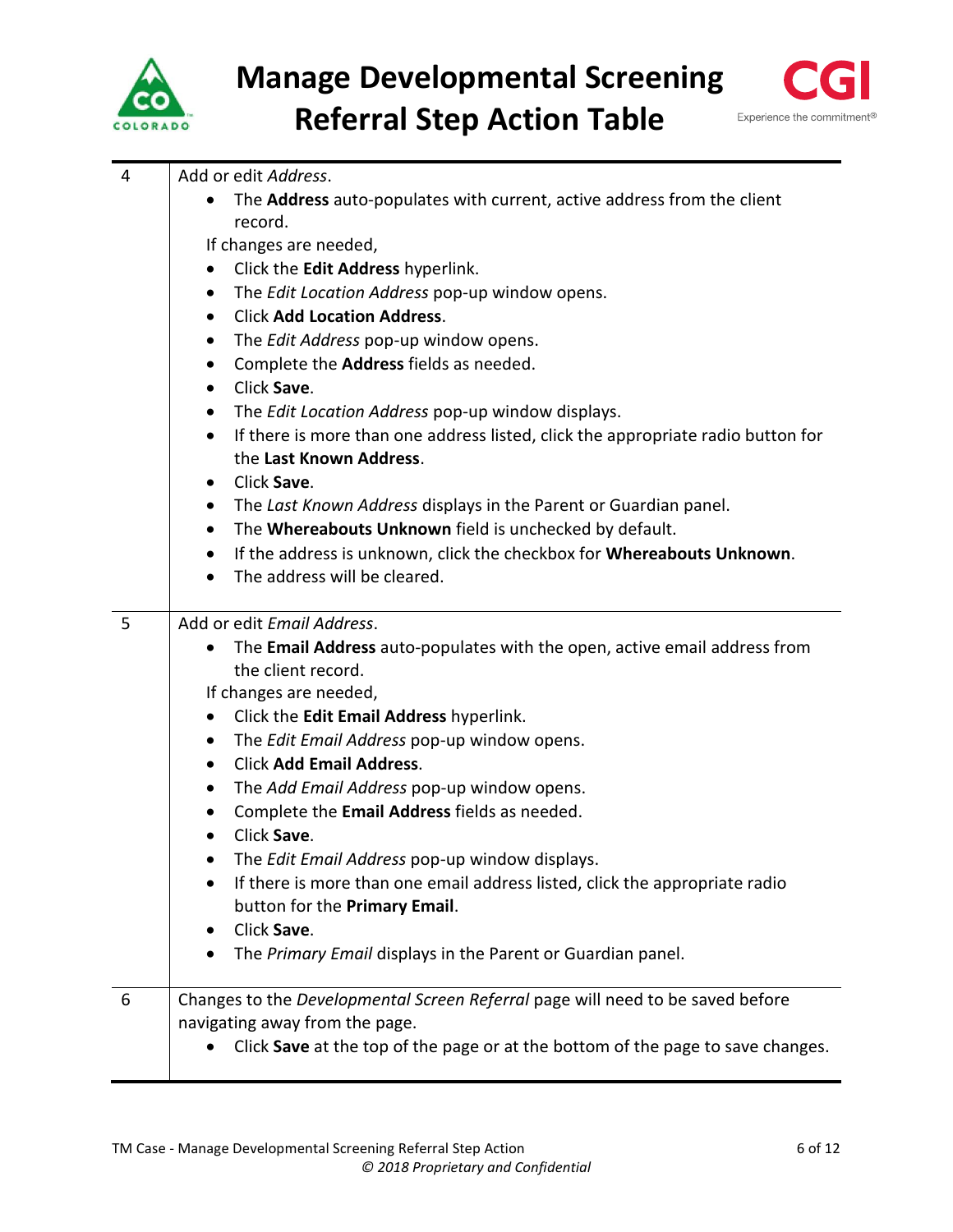



| 4<br>5 | Add or edit Address.<br>The Address auto-populates with current, active address from the client<br>$\bullet$<br>record.<br>If changes are needed,<br>Click the Edit Address hyperlink.<br>$\bullet$<br>The Edit Location Address pop-up window opens.<br>$\bullet$<br><b>Click Add Location Address.</b><br>$\bullet$<br>The Edit Address pop-up window opens.<br>$\bullet$<br>Complete the Address fields as needed.<br>$\bullet$<br>Click Save.<br>$\bullet$<br>The Edit Location Address pop-up window displays.<br>٠<br>If there is more than one address listed, click the appropriate radio button for<br>$\bullet$<br>the Last Known Address.<br>Click Save.<br>$\bullet$<br>The Last Known Address displays in the Parent or Guardian panel.<br>$\bullet$<br>The Whereabouts Unknown field is unchecked by default.<br>$\bullet$<br>If the address is unknown, click the checkbox for Whereabouts Unknown.<br>$\bullet$<br>The address will be cleared.<br>Add or edit Email Address.<br>The Email Address auto-populates with the open, active email address from<br>$\bullet$<br>the client record.<br>If changes are needed,<br>Click the Edit Email Address hyperlink.<br>$\bullet$<br>The Edit Email Address pop-up window opens.<br>$\bullet$<br><b>Click Add Email Address.</b><br>$\bullet$<br>$\bullet$ |
|--------|--------------------------------------------------------------------------------------------------------------------------------------------------------------------------------------------------------------------------------------------------------------------------------------------------------------------------------------------------------------------------------------------------------------------------------------------------------------------------------------------------------------------------------------------------------------------------------------------------------------------------------------------------------------------------------------------------------------------------------------------------------------------------------------------------------------------------------------------------------------------------------------------------------------------------------------------------------------------------------------------------------------------------------------------------------------------------------------------------------------------------------------------------------------------------------------------------------------------------------------------------------------------------------------------------------------------------|
|        | The Add Email Address pop-up window opens.<br>Complete the Email Address fields as needed.<br>٠<br>Click Save.<br>The Edit Email Address pop-up window displays.<br>If there is more than one email address listed, click the appropriate radio<br>button for the Primary Email.<br>Click Save.<br>٠<br>The Primary Email displays in the Parent or Guardian panel.                                                                                                                                                                                                                                                                                                                                                                                                                                                                                                                                                                                                                                                                                                                                                                                                                                                                                                                                                      |
| 6      | Changes to the Developmental Screen Referral page will need to be saved before<br>navigating away from the page.<br>Click Save at the top of the page or at the bottom of the page to save changes.                                                                                                                                                                                                                                                                                                                                                                                                                                                                                                                                                                                                                                                                                                                                                                                                                                                                                                                                                                                                                                                                                                                      |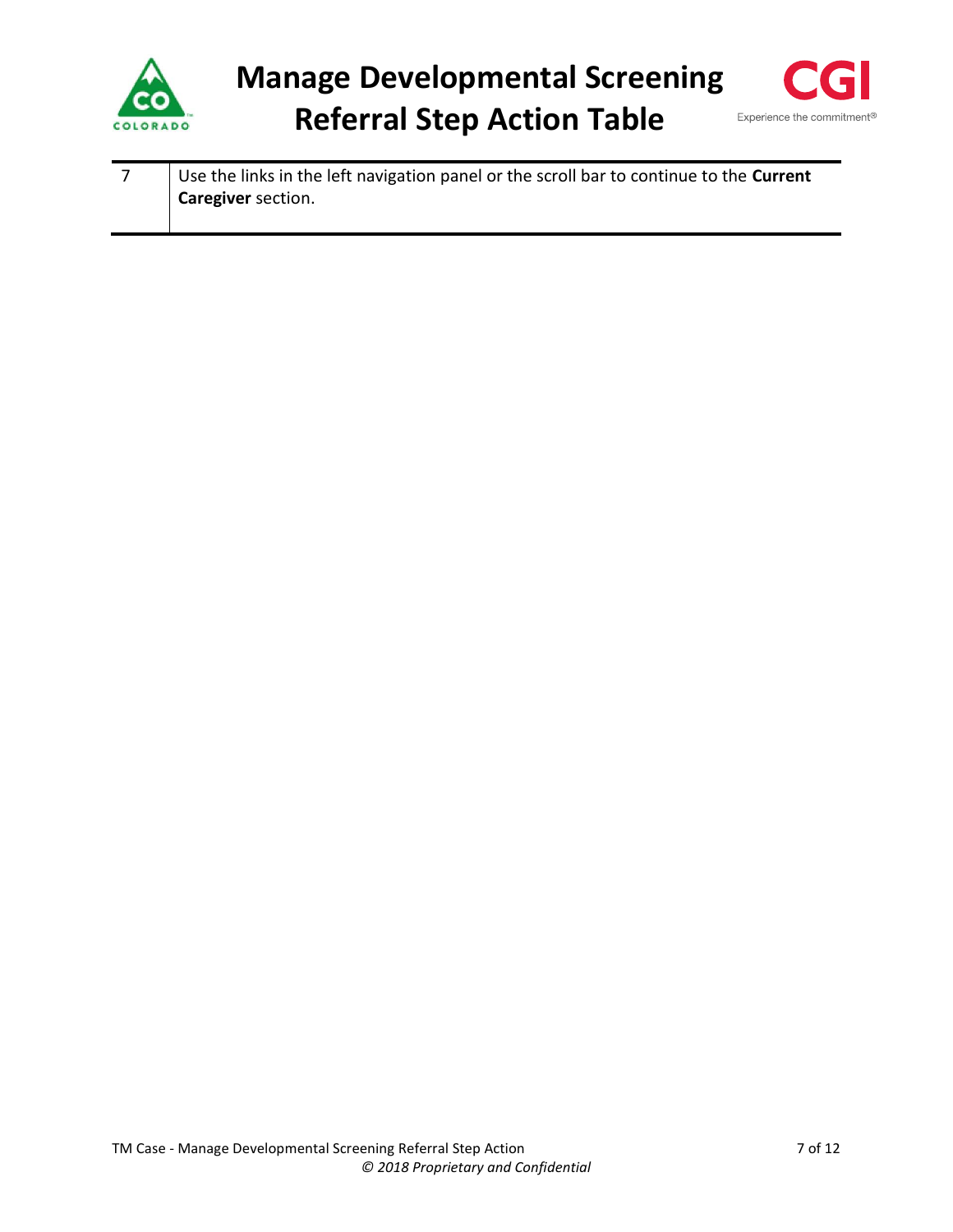



7 Use the links in the left navigation panel or the scroll bar to continue to the **Current Caregiver** section.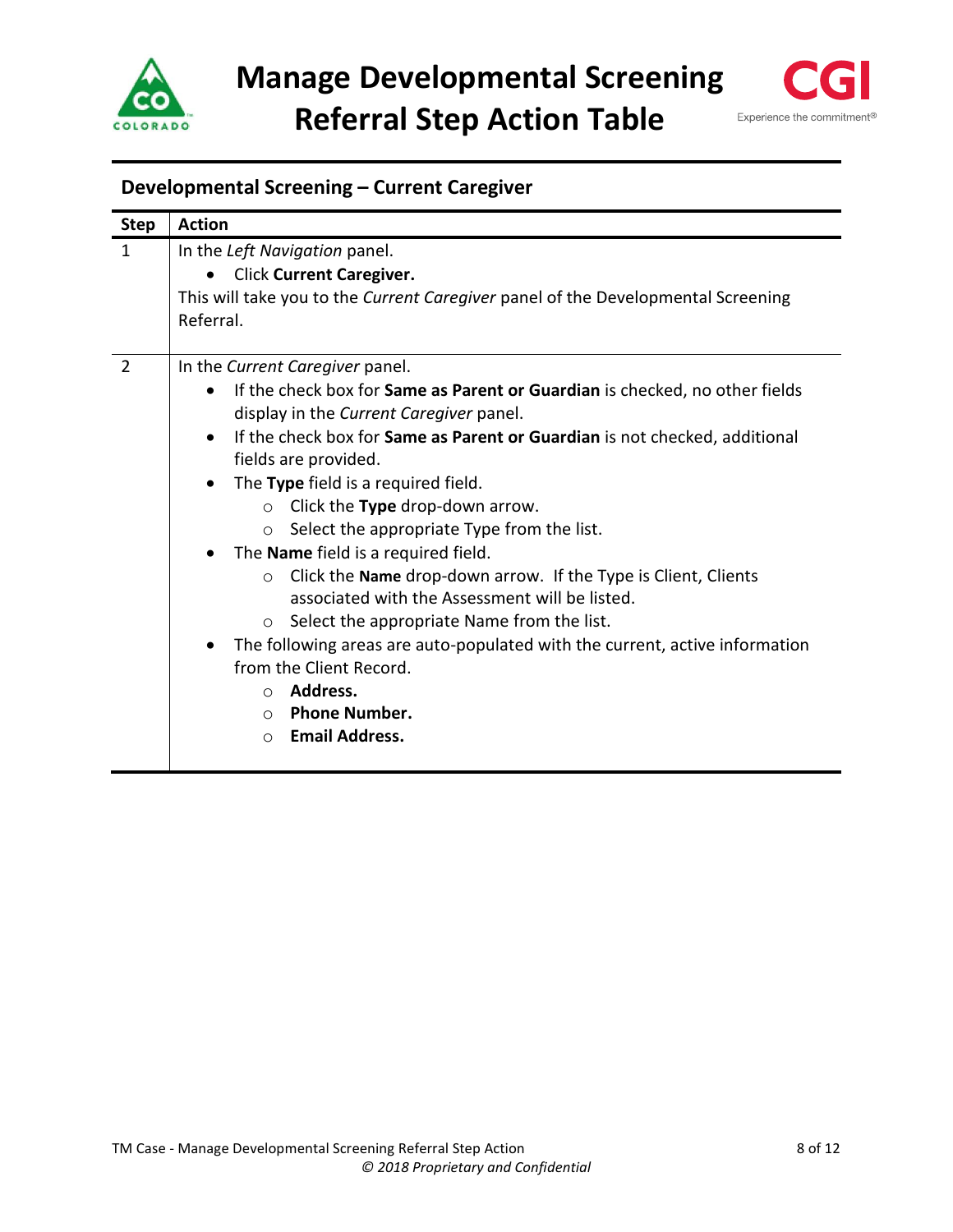



# <span id="page-7-0"></span>**Developmental Screening – Current Caregiver**

| <b>Step</b>    | <b>Action</b>                                                                           |
|----------------|-----------------------------------------------------------------------------------------|
| $\mathbf{1}$   | In the Left Navigation panel.                                                           |
|                | <b>Click Current Caregiver.</b>                                                         |
|                | This will take you to the Current Caregiver panel of the Developmental Screening        |
|                | Referral.                                                                               |
| $\overline{2}$ | In the Current Caregiver panel.                                                         |
|                | If the check box for Same as Parent or Guardian is checked, no other fields             |
|                |                                                                                         |
|                | display in the Current Caregiver panel.                                                 |
|                | If the check box for Same as Parent or Guardian is not checked, additional<br>$\bullet$ |
|                | fields are provided.                                                                    |
|                | The Type field is a required field.<br>$\bullet$                                        |
|                | Click the Type drop-down arrow.<br>$\circ$                                              |
|                | Select the appropriate Type from the list.<br>$\circ$                                   |
|                | The Name field is a required field.                                                     |
|                | Click the Name drop-down arrow. If the Type is Client, Clients<br>$\circ$               |
|                | associated with the Assessment will be listed.                                          |
|                | Select the appropriate Name from the list.<br>$\circ$                                   |
|                | The following areas are auto-populated with the current, active information             |
|                | from the Client Record.                                                                 |
|                |                                                                                         |
|                | Address.<br>$\Omega$                                                                    |
|                | <b>Phone Number.</b><br>$\circ$                                                         |
|                | <b>Email Address.</b><br>$\bigcirc$                                                     |
|                |                                                                                         |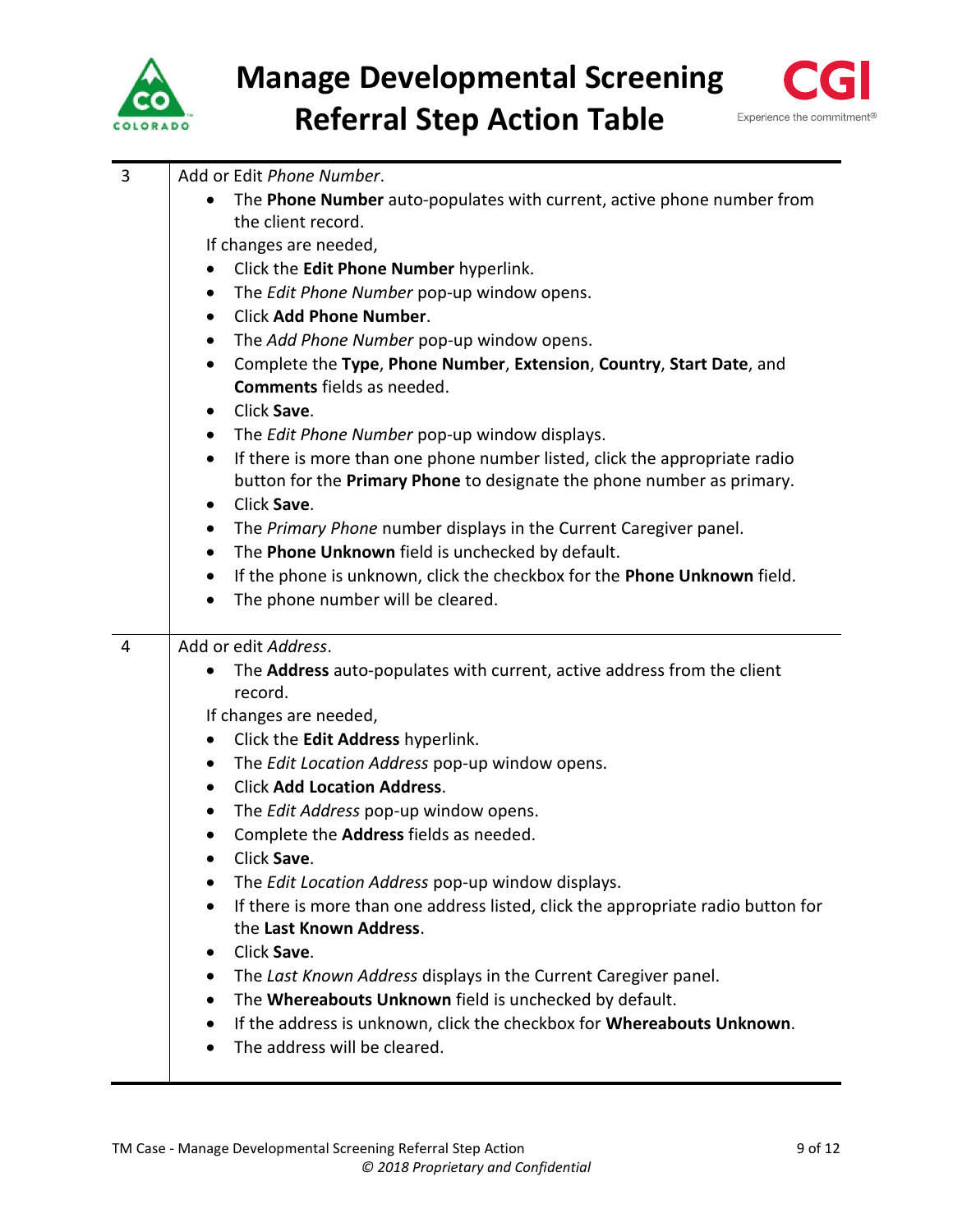



| 3 | Add or Edit Phone Number.                                                               |
|---|-----------------------------------------------------------------------------------------|
|   | The Phone Number auto-populates with current, active phone number from                  |
|   | the client record.                                                                      |
|   | If changes are needed,                                                                  |
|   | Click the Edit Phone Number hyperlink.<br>$\bullet$                                     |
|   | The Edit Phone Number pop-up window opens.<br>$\bullet$                                 |
|   | <b>Click Add Phone Number.</b><br>$\bullet$                                             |
|   | The Add Phone Number pop-up window opens.<br>$\bullet$                                  |
|   | Complete the Type, Phone Number, Extension, Country, Start Date, and<br>$\bullet$       |
|   | <b>Comments</b> fields as needed.                                                       |
|   | Click Save.<br>٠                                                                        |
|   | The Edit Phone Number pop-up window displays.<br>$\bullet$                              |
|   | If there is more than one phone number listed, click the appropriate radio<br>$\bullet$ |
|   | button for the Primary Phone to designate the phone number as primary.                  |
|   | Click Save.<br>٠                                                                        |
|   | The Primary Phone number displays in the Current Caregiver panel.<br>$\bullet$          |
|   | The Phone Unknown field is unchecked by default.<br>$\bullet$                           |
|   | If the phone is unknown, click the checkbox for the Phone Unknown field.<br>$\bullet$   |
|   | The phone number will be cleared.<br>$\bullet$                                          |
| 4 | Add or edit Address.                                                                    |
|   | The Address auto-populates with current, active address from the client                 |
|   | record.                                                                                 |
|   | If changes are needed,                                                                  |
|   | Click the Edit Address hyperlink.<br>$\bullet$                                          |
|   | The Edit Location Address pop-up window opens.<br>$\bullet$                             |
|   | <b>Click Add Location Address.</b><br>$\bullet$                                         |
|   | The Edit Address pop-up window opens.<br>$\bullet$                                      |
|   | Complete the Address fields as needed.<br>$\bullet$                                     |
|   | Click Save.                                                                             |
|   | The Edit Location Address pop-up window displays.                                       |
|   | If there is more than one address listed, click the appropriate radio button for        |
|   | the Last Known Address.                                                                 |
|   | Click Save.<br>٠                                                                        |
|   | The Last Known Address displays in the Current Caregiver panel.<br>$\bullet$            |
|   | The Whereabouts Unknown field is unchecked by default.<br>٠                             |
|   | If the address is unknown, click the checkbox for Whereabouts Unknown.<br>٠             |
|   | The address will be cleared.                                                            |
|   |                                                                                         |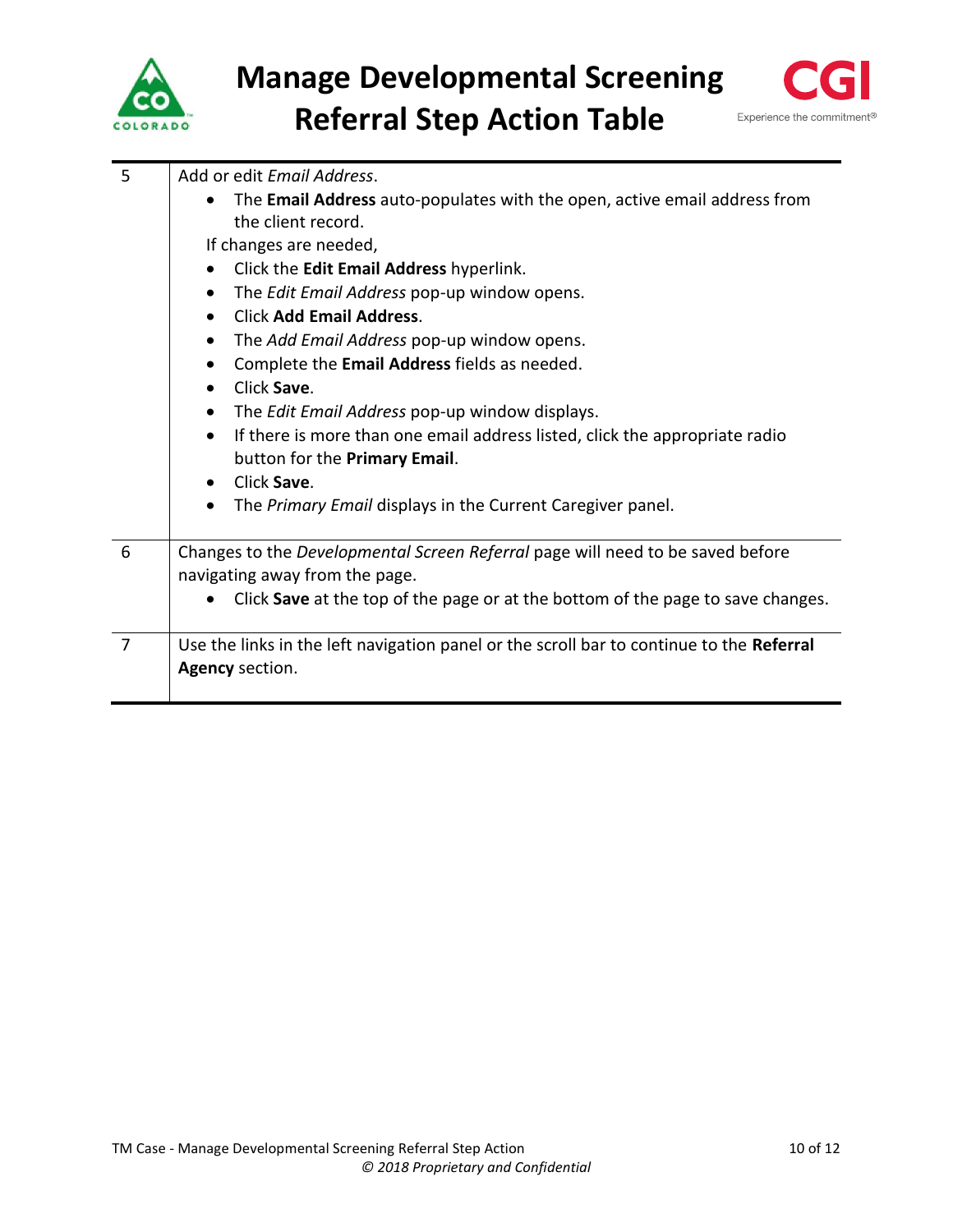



| 5              | Add or edit Email Address.                                                               |
|----------------|------------------------------------------------------------------------------------------|
|                | The Email Address auto-populates with the open, active email address from<br>$\bullet$   |
|                | the client record.                                                                       |
|                | If changes are needed,                                                                   |
|                | Click the Edit Email Address hyperlink.<br>$\bullet$                                     |
|                | The Edit Email Address pop-up window opens.<br>$\bullet$                                 |
|                | <b>Click Add Email Address.</b><br>$\bullet$                                             |
|                | The Add Email Address pop-up window opens.<br>٠                                          |
|                | Complete the Email Address fields as needed.<br>٠                                        |
|                | Click Save.<br>$\bullet$                                                                 |
|                | The Edit Email Address pop-up window displays.<br>$\bullet$                              |
|                | If there is more than one email address listed, click the appropriate radio<br>$\bullet$ |
|                | button for the Primary Email.                                                            |
|                | Click Save.<br>$\bullet$                                                                 |
|                | The Primary Email displays in the Current Caregiver panel.<br>$\bullet$                  |
|                |                                                                                          |
| 6              | Changes to the Developmental Screen Referral page will need to be saved before           |
|                | navigating away from the page.                                                           |
|                | Click Save at the top of the page or at the bottom of the page to save changes.          |
| $\overline{7}$ | Use the links in the left navigation panel or the scroll bar to continue to the Referral |
|                | Agency section.                                                                          |
|                |                                                                                          |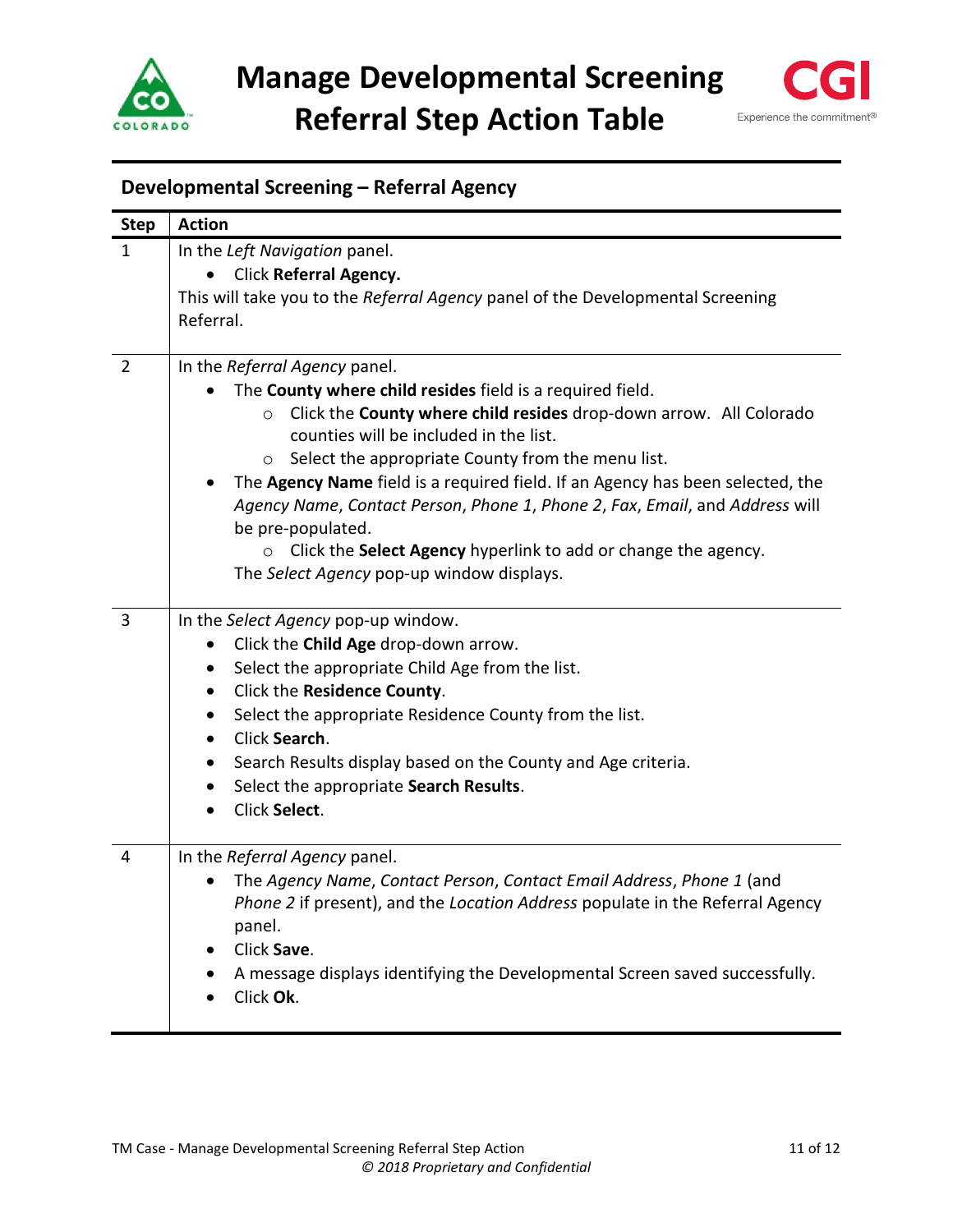



# <span id="page-10-0"></span>**Developmental Screening – Referral Agency**

| <b>Step</b>    | <b>Action</b>                                                                  |
|----------------|--------------------------------------------------------------------------------|
| $\mathbf{1}$   | In the Left Navigation panel.                                                  |
|                | Click Referral Agency.                                                         |
|                | This will take you to the Referral Agency panel of the Developmental Screening |
|                | Referral.                                                                      |
|                |                                                                                |
| $\overline{2}$ | In the Referral Agency panel.                                                  |
|                | The County where child resides field is a required field.                      |
|                | Click the County where child resides drop-down arrow. All Colorado<br>$\circ$  |
|                | counties will be included in the list.                                         |
|                | Select the appropriate County from the menu list.<br>$\circ$                   |
|                | The Agency Name field is a required field. If an Agency has been selected, the |
|                | Agency Name, Contact Person, Phone 1, Phone 2, Fax, Email, and Address will    |
|                | be pre-populated.                                                              |
|                | Click the Select Agency hyperlink to add or change the agency.<br>$\circ$      |
|                | The Select Agency pop-up window displays.                                      |
| 3              | In the Select Agency pop-up window.                                            |
|                | Click the Child Age drop-down arrow.<br>$\bullet$                              |
|                | Select the appropriate Child Age from the list.<br>$\bullet$                   |
|                | Click the Residence County.<br>$\bullet$                                       |
|                | Select the appropriate Residence County from the list.<br>$\bullet$            |
|                | Click Search.<br>$\bullet$                                                     |
|                | Search Results display based on the County and Age criteria.                   |
|                | Select the appropriate Search Results.<br>$\bullet$                            |
|                | Click Select.<br>$\bullet$                                                     |
|                |                                                                                |
| 4              | In the Referral Agency panel.                                                  |
|                | The Agency Name, Contact Person, Contact Email Address, Phone 1 (and           |
|                | Phone 2 if present), and the Location Address populate in the Referral Agency  |
|                | panel.                                                                         |
|                | Click Save.                                                                    |
|                | A message displays identifying the Developmental Screen saved successfully.    |
|                | Click Ok.                                                                      |
|                |                                                                                |